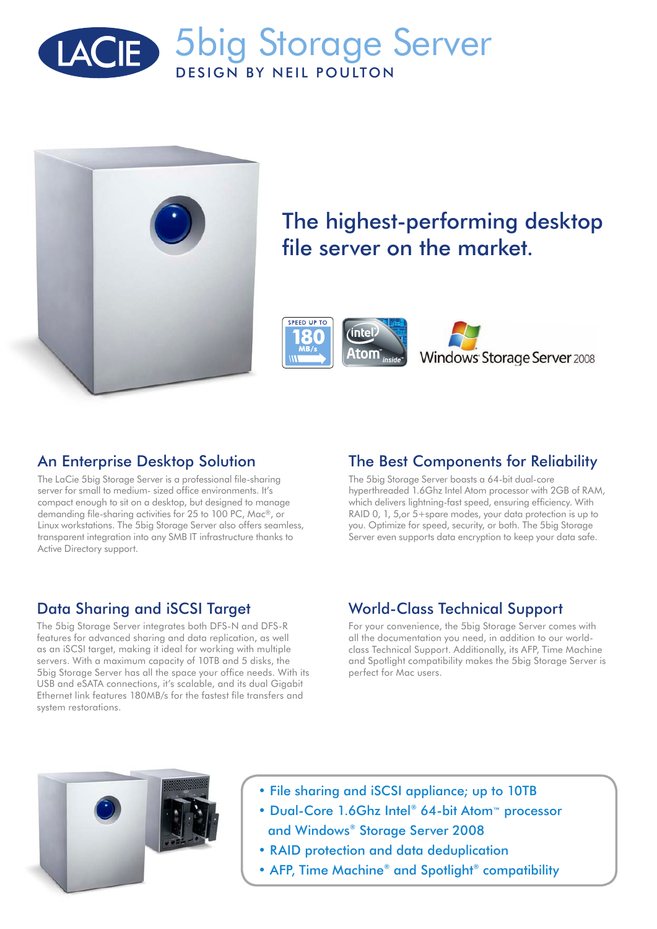



# The highest-performing desktop file server on the market.



### An Enterprise Desktop Solution

The LaCie 5big Storage Server is a professional file-sharing server for small to medium- sized office environments. It's compact enough to sit on a desktop, but designed to manage demanding file-sharing activities for 25 to 100 PC, Mac®, or Linux workstations. The 5big Storage Server also offers seamless, transparent integration into any SMB IT infrastructure thanks to Active Directory support.

# The Best Components for Reliability

The 5big Storage Server boasts a 64-bit dual-core hyperthreaded 1.6Ghz Intel Atom processor with 2GB of RAM, which delivers lightning-fast speed, ensuring efficiency. With RAID 0, 1, 5,or 5+spare modes, your data protection is up to you. Optimize for speed, security, or both. The 5big Storage Server even supports data encryption to keep your data safe.

#### Data Sharing and iSCSI Target

The 5big Storage Server integrates both DFS-N and DFS-R features for advanced sharing and data replication, as well as an iSCSI target, making it ideal for working with multiple servers. With a maximum capacity of 10TB and 5 disks, the 5big Storage Server has all the space your office needs. With its USB and eSATA connections, it's scalable, and its dual Gigabit Ethernet link features 180MB/s for the fastest file transfers and system restorations.

## World-Class Technical Support

For your convenience, the 5big Storage Server comes with all the documentation you need, in addition to our worldclass Technical Support. Additionally, its AFP, Time Machine and Spotlight compatibility makes the 5big Storage Server is perfect for Mac users.



- File sharing and iSCSI appliance; up to 10TB
- Dual-Core 1.6Ghz Intel® 64-bit Atom™ processor and Windows® Storage Server 2008
- RAID protection and data deduplication
- AFP, Time Machine® and Spotlight® compatibility